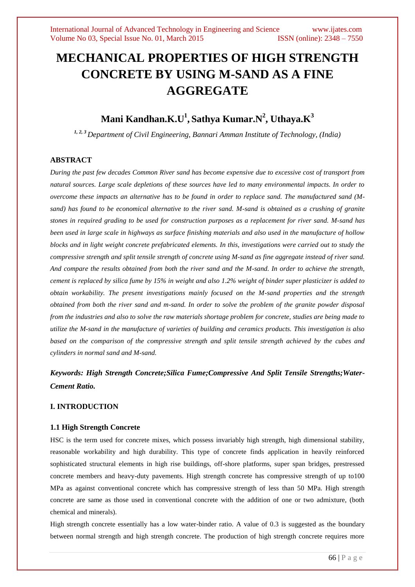# **MECHANICAL PROPERTIES OF HIGH STRENGTH CONCRETE BY USING M-SAND AS A FINE AGGREGATE**

## **Mani Kandhan.K.U 1 , Sathya Kumar.N 2 , Uthaya.K<sup>3</sup>**

*1, 2, 3 Department of Civil Engineering, Bannari Amman Institute of Technology, (India)*

### **ABSTRACT**

*During the past few decades Common River sand has become expensive due to excessive cost of transport from natural sources. Large scale depletions of these sources have led to many environmental impacts. In order to overcome these impacts an alternative has to be found in order to replace sand. The manufactured sand (Msand) has found to be economical alternative to the river sand. M-sand is obtained as a crushing of granite stones in required grading to be used for construction purposes as a replacement for river sand. M-sand has been used in large scale in highways as surface finishing materials and also used in the manufacture of hollow blocks and in light weight concrete prefabricated elements. In this, investigations were carried out to study the compressive strength and split tensile strength of concrete using M-sand as fine aggregate instead of river sand. And compare the results obtained from both the river sand and the M-sand. In order to achieve the strength, cement is replaced by silica fume by 15% in weight and also 1.2% weight of binder super plasticizer is added to obtain workability. The present investigations mainly focused on the M-sand properties and the strength obtained from both the river sand and m-sand. In order to solve the problem of the granite powder disposal from the industries and also to solve the raw materials shortage problem for concrete, studies are being made to utilize the M-sand in the manufacture of varieties of building and ceramics products. This investigation is also based on the comparison of the compressive strength and split tensile strength achieved by the cubes and cylinders in normal sand and M-sand.* 

*Keywords: High Strength Concrete;Silica Fume;Compressive And Split Tensile Strengths;Water-Cement Ratio.*

### **I. INTRODUCTION**

#### **1.1 High Strength Concrete**

HSC is the term used for concrete mixes, which possess invariably high strength, high dimensional stability, reasonable workability and high durability. This type of concrete finds application in heavily reinforced sophisticated structural elements in high rise buildings, off-shore platforms, super span bridges, prestressed concrete members and heavy-duty pavements. High strength concrete has compressive strength of up to100 MPa as against conventional concrete which has compressive strength of less than 50 MPa. High strength concrete are same as those used in conventional concrete with the addition of one or two admixture, (both chemical and minerals).

High strength concrete essentially has a low water-binder ratio. A value of 0.3 is suggested as the boundary between normal strength and high strength concrete. The production of high strength concrete requires more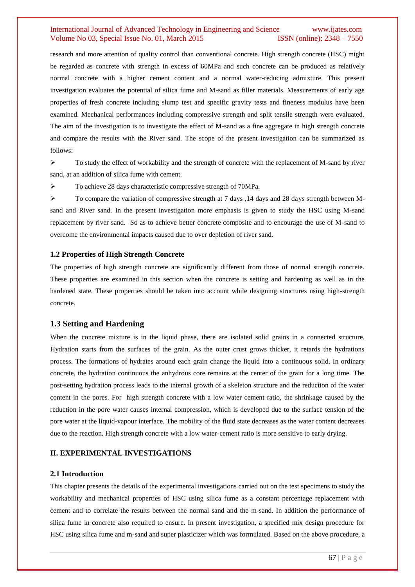research and more attention of quality control than conventional concrete. High strength concrete (HSC) might be regarded as concrete with strength in excess of 60MPa and such concrete can be produced as relatively normal concrete with a higher cement content and a normal water-reducing admixture. This present investigation evaluates the potential of silica fume and M-sand as filler materials. Measurements of early age properties of fresh concrete including slump test and specific gravity tests and fineness modulus have been examined. Mechanical performances including compressive strength and split tensile strength were evaluated. The aim of the investigation is to investigate the effect of M-sand as a fine aggregate in high strength concrete and compare the results with the River sand. The scope of the present investigation can be summarized as follows:

 $\triangleright$  To study the effect of workability and the strength of concrete with the replacement of M-sand by river sand, at an addition of silica fume with cement.

To achieve 28 days characteristic compressive strength of 70MPa.

 To compare the variation of compressive strength at 7 days ,14 days and 28 days strength between Msand and River sand. In the present investigation more emphasis is given to study the HSC using M-sand replacement by river sand. So as to achieve better concrete composite and to encourage the use of M-sand to overcome the environmental impacts caused due to over depletion of river sand.

#### **1.2 Properties of High Strength Concrete**

The properties of high strength concrete are significantly different from those of normal strength concrete. These properties are examined in this section when the concrete is setting and hardening as well as in the hardened state. These properties should be taken into account while designing structures using high-strength concrete.

#### **1.3 Setting and Hardening**

When the concrete mixture is in the liquid phase, there are isolated solid grains in a connected structure. Hydration starts from the surfaces of the grain. As the outer crust grows thicker, it retards the hydrations process. The formations of hydrates around each grain change the liquid into a continuous solid. In ordinary concrete, the hydration continuous the anhydrous core remains at the center of the grain for a long time. The post-setting hydration process leads to the internal growth of a skeleton structure and the reduction of the water content in the pores. For high strength concrete with a low water cement ratio, the shrinkage caused by the reduction in the pore water causes internal compression, which is developed due to the surface tension of the pore water at the liquid-vapour interface. The mobility of the fluid state decreases as the water content decreases due to the reaction. High strength concrete with a low water-cement ratio is more sensitive to early drying.

#### **II. EXPERIMENTAL INVESTIGATIONS**

#### **2.1 Introduction**

This chapter presents the details of the experimental investigations carried out on the test specimens to study the workability and mechanical properties of HSC using silica fume as a constant percentage replacement with cement and to correlate the results between the normal sand and the m-sand. In addition the performance of silica fume in concrete also required to ensure. In present investigation, a specified mix design procedure for HSC using silica fume and m-sand and super plasticizer which was formulated. Based on the above procedure, a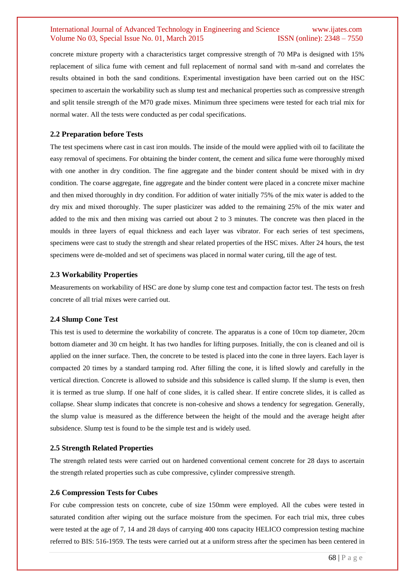concrete mixture property with a characteristics target compressive strength of 70 MPa is designed with 15% replacement of silica fume with cement and full replacement of normal sand with m-sand and correlates the results obtained in both the sand conditions. Experimental investigation have been carried out on the HSC specimen to ascertain the workability such as slump test and mechanical properties such as compressive strength and split tensile strength of the M70 grade mixes. Minimum three specimens were tested for each trial mix for normal water. All the tests were conducted as per codal specifications.

#### **2.2 Preparation before Tests**

The test specimens where cast in cast iron moulds. The inside of the mould were applied with oil to facilitate the easy removal of specimens. For obtaining the binder content, the cement and silica fume were thoroughly mixed with one another in dry condition. The fine aggregate and the binder content should be mixed with in dry condition. The coarse aggregate, fine aggregate and the binder content were placed in a concrete mixer machine and then mixed thoroughly in dry condition. For addition of water initially 75% of the mix water is added to the dry mix and mixed thoroughly. The super plasticizer was added to the remaining 25% of the mix water and added to the mix and then mixing was carried out about 2 to 3 minutes. The concrete was then placed in the moulds in three layers of equal thickness and each layer was vibrator. For each series of test specimens, specimens were cast to study the strength and shear related properties of the HSC mixes. After 24 hours, the test specimens were de-molded and set of specimens was placed in normal water curing, till the age of test.

#### **2.3 Workability Properties**

Measurements on workability of HSC are done by slump cone test and compaction factor test. The tests on fresh concrete of all trial mixes were carried out.

#### **2.4 Slump Cone Test**

This test is used to determine the workability of concrete. The apparatus is a cone of 10cm top diameter, 20cm bottom diameter and 30 cm height. It has two handles for lifting purposes. Initially, the con is cleaned and oil is applied on the inner surface. Then, the concrete to be tested is placed into the cone in three layers. Each layer is compacted 20 times by a standard tamping rod. After filling the cone, it is lifted slowly and carefully in the vertical direction. Concrete is allowed to subside and this subsidence is called slump. If the slump is even, then it is termed as true slump. If one half of cone slides, it is called shear. If entire concrete slides, it is called as collapse. Shear slump indicates that concrete is non-cohesive and shows a tendency for segregation. Generally, the slump value is measured as the difference between the height of the mould and the average height after subsidence. Slump test is found to be the simple test and is widely used.

#### **2.5 Strength Related Properties**

The strength related tests were carried out on hardened conventional cement concrete for 28 days to ascertain the strength related properties such as cube compressive, cylinder compressive strength.

#### **2.6 Compression Tests for Cubes**

For cube compression tests on concrete, cube of size 150mm were employed. All the cubes were tested in saturated condition after wiping out the surface moisture from the specimen. For each trial mix, three cubes were tested at the age of 7, 14 and 28 days of carrying 400 tons capacity HELICO compression testing machine referred to BIS: 516-1959. The tests were carried out at a uniform stress after the specimen has been centered in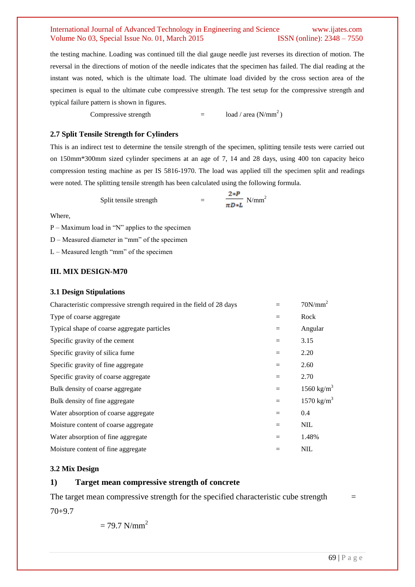the testing machine. Loading was continued till the dial gauge needle just reverses its direction of motion. The reversal in the directions of motion of the needle indicates that the specimen has failed. The dial reading at the instant was noted, which is the ultimate load. The ultimate load divided by the cross section area of the specimen is equal to the ultimate cube compressive strength. The test setup for the compressive strength and typical failure pattern is shown in figures.

Compressive strength  $=$   $\log l / \text{area} (N/mm^2)$ 

#### **2.7 Split Tensile Strength for Cylinders**

This is an indirect test to determine the tensile strength of the specimen, splitting tensile tests were carried out on 150mm\*300mm sized cylinder specimens at an age of 7, 14 and 28 days, using 400 ton capacity heico compression testing machine as per IS 5816-1970. The load was applied till the specimen split and readings were noted. The splitting tensile strength has been calculated using the following formula.

Split tensile strength 
$$
= \frac{2*P}{\pi D*L} \text{ N/mm}^2
$$

Where,

P – Maximum load in "N" applies to the specimen

D – Measured diameter in "mm" of the specimen

L – Measured length "mm" of the specimen

### **III. MIX DESIGN-M70**

#### **3.1 Design Stipulations**

| Characteristic compressive strength required in the field of 28 days |     | $70N/mm^2$             |
|----------------------------------------------------------------------|-----|------------------------|
| Type of coarse aggregate                                             | $=$ | Rock                   |
| Typical shape of coarse aggregate particles                          |     | Angular                |
| Specific gravity of the cement                                       | $=$ | 3.15                   |
| Specific gravity of silica fume                                      | $=$ | 2.20                   |
| Specific gravity of fine aggregate                                   | $=$ | 2.60                   |
| Specific gravity of coarse aggregate                                 | $=$ | 2.70                   |
| Bulk density of coarse aggregate                                     | $=$ | 1560 kg/m <sup>3</sup> |
| Bulk density of fine aggregate                                       | $=$ | 1570 kg/m <sup>3</sup> |
| Water absorption of coarse aggregate                                 | $=$ | 0.4                    |
| Moisture content of coarse aggregate                                 | $=$ | <b>NIL</b>             |
| Water absorption of fine aggregate                                   | $=$ | 1.48%                  |
| Moisture content of fine aggregate                                   |     | $NIL$                  |

#### **3.2 Mix Design**

### **1) Target mean compressive strength of concrete**

The target mean compressive strength for the specified characteristic cube strength  $70+9.7$ 

 $= 79.7$  N/mm<sup>2</sup>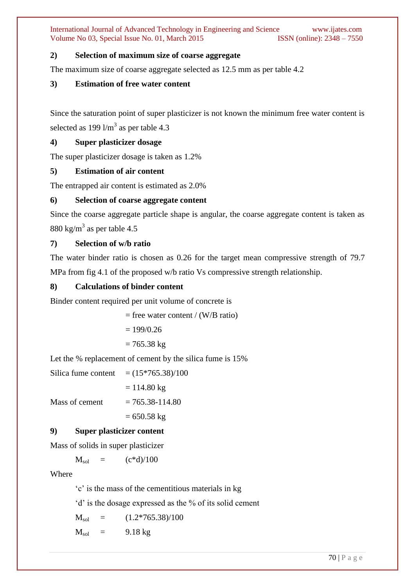### **2) Selection of maximum size of coarse aggregate**

The maximum size of coarse aggregate selected as 12.5 mm as per table 4.2

### **3) Estimation of free water content**

Since the saturation point of super plasticizer is not known the minimum free water content is selected as  $199 \text{ l/m}^3$  as per table 4.3

### **4) Super plasticizer dosage**

The super plasticizer dosage is taken as 1.2%

### **5) Estimation of air content**

The entrapped air content is estimated as 2.0%

### **6) Selection of coarse aggregate content**

Since the coarse aggregate particle shape is angular, the coarse aggregate content is taken as 880 kg/m<sup>3</sup> as per table 4.5

### **7) Selection of w/b ratio**

The water binder ratio is chosen as 0.26 for the target mean compressive strength of 79.7 MPa from fig 4.1 of the proposed w/b ratio Vs compressive strength relationship.

### **8) Calculations of binder content**

Binder content required per unit volume of concrete is

 $=$  free water content / (W/B ratio)

$$
=199/0.26
$$

$$
= 765.38 \text{ kg}
$$

Let the % replacement of cement by the silica fume is 15%

Silica fume content  $= (15*765.38)/100$  $= 114.80 \text{ kg}$ 

Mass of cement  $= 765.38 - 114.80$ 

 $= 650.58 \text{ kg}$ 

### **9) Super plasticizer content**

Mass of solids in super plasticizer

 $M_{sol} = (c^*d)/100$ 

### **Where**

"c" is the mass of the cementitious materials in kg

"d" is the dosage expressed as the % of its solid cement

$$
M_{sol} = (1.2*765.38)/100
$$

 $M_{sol}$  = 9.18 kg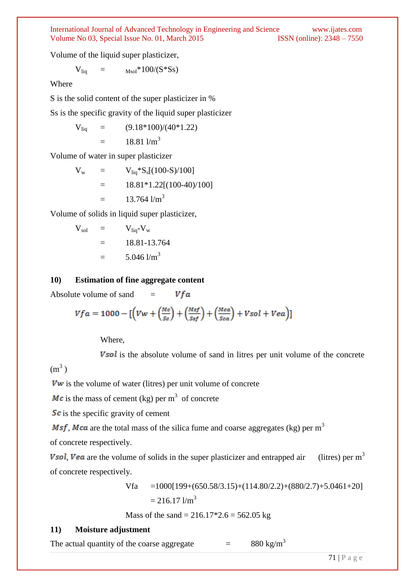Volume of the liquid super plasticizer,

 $V_{\text{liq}} =$   $M_{\text{sol}} \times 100/(S \times S s)$ 

Where

S is the solid content of the super plasticizer in %

Ss is the specific gravity of the liquid super plasticizer

$$
V_{liq} = (9.18*100)/(40*1.22)
$$
  
= 18.811/m<sup>3</sup>

Volume of water in super plasticizer

$$
V_w = V_{liq} * S_s[(100-S)/100]
$$
  
= 18.81 \* 1.22[(100-40)/100]  
= 13.764 1/m<sup>3</sup>

Volume of solids in liquid super plasticizer,

$$
V_{sol} = V_{liq} - V_w
$$
  
= 18.81-13.764  
= 5.046 1/m<sup>3</sup>

### **10) Estimation of fine aggregate content**

Vfa Absolute volume of sand  $=$ 

$$
Vfa = 1000 - \left[ \left( Vw + \left( \frac{Mc}{s_c} \right) + \left( \frac{Msf}{s_{sf}} \right) + \left( \frac{Mca}{s_{ca}} \right) + Vsol + Vea \right) \right]
$$

Where,

**Vsol** is the absolute volume of sand in litres per unit volume of the concrete

 $(m<sup>3</sup>)$ 

 *is the volume of water (litres) per unit volume of concrete* 

 $\textit{Mc}$  is the mass of cement (kg) per m<sup>3</sup> of concrete

 $\mathcal{S}\mathcal{C}$  is the specific gravity of cement

*Msf, Mca* are the total mass of the silica fume and coarse aggregates (kg) per  $m<sup>3</sup>$ 

of concrete respectively.

**Vsol, Vea** are the volume of solids in the super plasticizer and entrapped air (litres) per  $m<sup>3</sup>$ of concrete respectively.

> $Vfa = 1000[199+(650.58/3.15)+(114.80/2.2)+(880/2.7)+5.0461+20]$  $= 216.17$  l/m<sup>3</sup>

Mass of the sand =  $216.17*2.6 = 562.05$  kg

### **11) Moisture adjustment**

The actual quantity of the coarse aggregate  $=$  880 kg/m<sup>3</sup>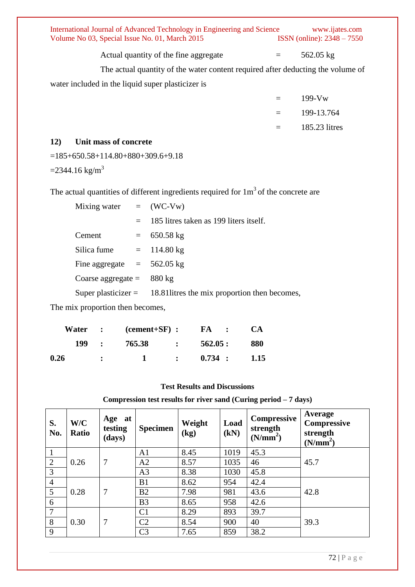International Journal of Advanced Technology in Engineering and Science www.ijates.com Volume No 03, Special Issue No. 01, March 2015 **ISSN** (online): 2348 – 7550 Volume No 03, Special Issue No. 01, March 2015

Actual quantity of the fine aggregate  $=$  562.05 kg

The actual quantity of the water content required after deducting the volume of water included in the liquid super plasticizer is

| $199-VW$      |
|---------------|
| 199-13.764    |
| 185.23 litres |

### **12) Unit mass of concrete**

=185+650.58+114.80+880+309.6+9.18

 $=$ 2344.16 kg/m<sup>3</sup>

The actual quantities of different ingredients required for  $1m<sup>3</sup>$  of the concrete are

| Mixing water $=$ (WC-Vw)            |     |                                                                     |
|-------------------------------------|-----|---------------------------------------------------------------------|
|                                     | $=$ | 185 litres taken as 199 liters itself.                              |
| Cement                              |     | $= 650.58 \text{ kg}$                                               |
| Silica fume $= 114.80 \text{ kg}$   |     |                                                                     |
| Fine aggregate $= 562.05$ kg        |     |                                                                     |
| Coarse aggregate = $880 \text{ kg}$ |     |                                                                     |
|                                     |     | Super plasticizer $=$ 18.81 litres the mix proportion then becomes, |

The mix proportion then becomes,

|      | Water | $\mathbf{r}$                | $(cement + SF)$ : |               | FA :      | <b>CA</b> |
|------|-------|-----------------------------|-------------------|---------------|-----------|-----------|
|      | 199   | $\mathcal{L} = \mathcal{L}$ | 765.38            | $\sim$ $\sim$ | 562.05:   | 880       |
| 0.26 |       | $\ddot{\cdot}$              |                   |               | $0.734$ : | 1.15      |

### **Test Results and Discussions**

**Compression test results for river sand (Curing period – 7 days)**

| S.<br>No.      | W/C<br><b>Ratio</b> | Age at<br>testing<br>(days) | <b>Specimen</b> | Weight<br>(kg) | Load<br>(kN) | <b>Compressive</b><br>strength<br>(N/mm <sup>2</sup> ) | Average<br>Compressive<br>strength<br>(N/mm <sup>2</sup> ) |
|----------------|---------------------|-----------------------------|-----------------|----------------|--------------|--------------------------------------------------------|------------------------------------------------------------|
|                |                     |                             | A <sub>1</sub>  | 8.45           | 1019         | 45.3                                                   |                                                            |
| $\overline{2}$ | 0.26                | 7                           | A2              | 8.57           | 1035         | 46                                                     | 45.7                                                       |
| 3              |                     |                             | A <sub>3</sub>  | 8.38           | 1030         | 45.8                                                   |                                                            |
| $\overline{4}$ |                     |                             | B1              | 8.62           | 954          | 42.4                                                   |                                                            |
| 5              | 0.28                | 7                           | B2              | 7.98           | 981          | 43.6                                                   | 42.8                                                       |
| 6              |                     |                             | B <sub>3</sub>  | 8.65           | 958          | 42.6                                                   |                                                            |
| 7              |                     |                             | C <sub>1</sub>  | 8.29           | 893          | 39.7                                                   |                                                            |
| 8              | 0.30                | 7                           | C <sub>2</sub>  | 8.54           | 900          | 40                                                     | 39.3                                                       |
| 9              |                     |                             | C <sub>3</sub>  | 7.65           | 859          | 38.2                                                   |                                                            |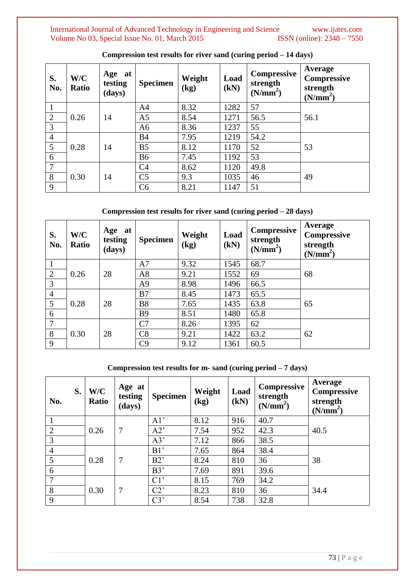International Journal of Advanced Technology in Engineering and Science www.ijates.com Volume No 03, Special Issue No. 01, March 2015 ISSN (online): 2348 – 7550 Volume No 03, Special Issue No. 01, March 2015

| S.<br>No.      | W/C<br>Ratio | Age at<br>testing<br>(days) | <b>Specimen</b> | Weight<br>(kg) | Load<br>(kN) | Compressive<br>strength<br>(N/mm <sup>2</sup> ) | Average<br><b>Compressive</b><br>strength<br>(N/mm <sup>2</sup> ) |
|----------------|--------------|-----------------------------|-----------------|----------------|--------------|-------------------------------------------------|-------------------------------------------------------------------|
| $\mathbf{1}$   |              |                             | A <sub>4</sub>  | 8.32           | 1282         | 57                                              |                                                                   |
| 2              | 0.26         | 14                          | A <sub>5</sub>  | 8.54           | 1271         | 56.5                                            | 56.1                                                              |
| $\mathfrak{Z}$ |              |                             | A <sub>6</sub>  | 8.36           | 1237         | 55                                              |                                                                   |
| $\overline{4}$ |              |                             | <b>B4</b>       | 7.95           | 1219         | 54.2                                            |                                                                   |
| 5              | 0.28         | 14                          | B <sub>5</sub>  | 8.12           | 1170         | 52                                              | 53                                                                |
| 6              |              |                             | <b>B6</b>       | 7.45           | 1192         | 53                                              |                                                                   |
| $\overline{7}$ |              |                             | C <sub>4</sub>  | 8.62           | 1120         | 49.8                                            |                                                                   |
| 8              | 0.30         | 14                          | C <sub>5</sub>  | 9.3            | 1035         | 46                                              | 49                                                                |
| 9              |              |                             | C <sub>6</sub>  | 8.21           | 1147         | 51                                              |                                                                   |

**Compression test results for river sand (curing period – 14 days)**

### **Compression test results for river sand (curing period – 28 days)**

| S.<br>No.      | W/C<br>Ratio | Age at<br>testing<br>(days) | <b>Specimen</b> | Weight<br>(kg) | Load<br>(kN) | <b>Compressive</b><br>strength<br>(N/mm <sup>2</sup> ) | Average<br><b>Compressive</b><br>strength<br>(N/mm <sup>2</sup> ) |
|----------------|--------------|-----------------------------|-----------------|----------------|--------------|--------------------------------------------------------|-------------------------------------------------------------------|
|                |              |                             | A7              | 9.32           | 1545         | 68.7                                                   |                                                                   |
| $\overline{2}$ | 0.26         | 28                          | A8              | 9.21           | 1552         | 69                                                     | 68                                                                |
| 3              |              |                             | A <sub>9</sub>  | 8.98           | 1496         | 66.5                                                   |                                                                   |
| $\overline{4}$ |              |                             | B7              | 8.45           | 1473         | 65.5                                                   |                                                                   |
| 5              | 0.28         | 28                          | <b>B8</b>       | 7.65           | 1435         | 63.8                                                   | 65                                                                |
| 6              |              |                             | <b>B9</b>       | 8.51           | 1480         | 65.8                                                   |                                                                   |
| 7              |              |                             | C7              | 8.26           | 1395         | 62                                                     |                                                                   |
| 8              | 0.30         | 28                          | C8              | 9.21           | 1422         | 63.2                                                   | 62                                                                |
| 9              |              |                             | C9              | 9.12           | 1361         | 60.5                                                   |                                                                   |

**Compression test results for m- sand (curing period – 7 days)**

| S.<br>No.      | W/C<br>Ratio | Age at<br>testing<br>(days) | <b>Specimen</b> | Weight<br>(kg) | Load<br>(kN) | <b>Compressive</b><br>strength<br>(N/mm <sup>2</sup> ) | Average<br><b>Compressive</b><br>strength<br>(N/mm <sup>2</sup> ) |
|----------------|--------------|-----------------------------|-----------------|----------------|--------------|--------------------------------------------------------|-------------------------------------------------------------------|
|                |              |                             | A1'             | 8.12           | 916          | 40.7                                                   |                                                                   |
| $\overline{2}$ | 0.26         | 7                           | A2'             | 7.54           | 952          | 42.3                                                   | 40.5                                                              |
| 3              |              |                             | A3'             | 7.12           | 866          | 38.5                                                   |                                                                   |
| $\overline{4}$ |              |                             | B1'             | 7.65           | 864          | 38.4                                                   |                                                                   |
| 5              | 0.28         | 7                           | B2'             | 8.24           | 810          | 36                                                     | 38                                                                |
| 6              |              |                             | B3'             | 7.69           | 891          | 39.6                                                   |                                                                   |
| $\overline{7}$ |              |                             | C1'             | 8.15           | 769          | 34.2                                                   |                                                                   |
| 8              | 0.30         | 7                           | C2              | 8.23           | 810          | 36                                                     | 34.4                                                              |
| 9              |              |                             | C3'             | 8.54           | 738          | 32.8                                                   |                                                                   |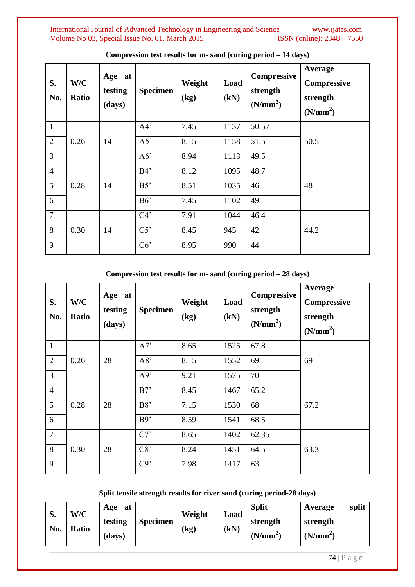International Journal of Advanced Technology in Engineering and Science www.ijates.com Volume No 03, Special Issue No. 01, March 2015 ISSN (online): 2348 – 7550 Volume No 03, Special Issue No. 01, March 2015

| S.<br>No.      | W/C<br><b>Ratio</b> | Age at<br>testing<br>(days) | <b>Specimen</b> | Weight<br>(kg) | Load<br>(kN) | Compressive<br>strength<br>(N/mm <sup>2</sup> ) | Average<br>Compressive<br>strength<br>(N/mm <sup>2</sup> ) |
|----------------|---------------------|-----------------------------|-----------------|----------------|--------------|-------------------------------------------------|------------------------------------------------------------|
| $\mathbf{1}$   |                     |                             | A4'             | 7.45           | 1137         | 50.57                                           |                                                            |
| $\overline{2}$ | 0.26                | 14                          | A5'             | 8.15           | 1158         | 51.5                                            | 50.5                                                       |
| 3              |                     |                             | A6'             | 8.94           | 1113         | 49.5                                            |                                                            |
| $\overline{4}$ |                     | 14                          | B4'             | 8.12           | 1095         | 48.7                                            |                                                            |
| 5              | 0.28                |                             | B5'             | 8.51           | 1035         | 46                                              | 48                                                         |
| 6              |                     |                             | B6'             | 7.45           | 1102         | 49                                              |                                                            |
| $\overline{7}$ |                     |                             | C4'             | 7.91           | 1044         | 46.4                                            |                                                            |
| 8              | 0.30                | 14                          | C5'             | 8.45           | 945          | 42                                              | 44.2                                                       |
| 9              |                     |                             | C6              | 8.95           | 990          | 44                                              |                                                            |

**Compression test results for m- sand (curing period – 14 days)**

### **Compression test results for m- sand (curing period – 28 days)**

| S.<br>No.      | W/C<br>Ratio | Age at<br>testing<br>(days) | <b>Specimen</b> | Weight<br>(kg) | Load<br>(kN) | Compressive<br>strength<br>(N/mm <sup>2</sup> ) | Average<br><b>Compressive</b><br>strength<br>(N/mm <sup>2</sup> ) |
|----------------|--------------|-----------------------------|-----------------|----------------|--------------|-------------------------------------------------|-------------------------------------------------------------------|
| $\mathbf{1}$   |              |                             | A7'             | 8.65           | 1525         | 67.8                                            |                                                                   |
| $\overline{2}$ | 0.26         | 28                          | A8'             | 8.15           | 1552         | 69                                              | 69                                                                |
| $\overline{3}$ |              |                             | A9'             | 9.21           | 1575         | 70                                              |                                                                   |
| $\overline{4}$ |              | 28                          | B7'             | 8.45           | 1467         | 65.2                                            |                                                                   |
| 5              | 0.28         |                             | B8'             | 7.15           | 1530         | 68                                              | 67.2                                                              |
| 6              |              |                             | B9'             | 8.59           | 1541         | 68.5                                            |                                                                   |
| $\overline{7}$ |              |                             | C7'             | 8.65           | 1402         | 62.35                                           |                                                                   |
| 8              | 0.30         | 28                          | C8'             | 8.24           | 1451         | 64.5                                            | 63.3                                                              |
| 9              |              |                             | C9'             | 7.98           | 1417         | 63                                              |                                                                   |

### **Split tensile strength results for river sand (curing period-28 days)**

| ົ         | W/C          | at<br>Age |                 | Weight | Load | <b>Split</b> | Average              | split |
|-----------|--------------|-----------|-----------------|--------|------|--------------|----------------------|-------|
| d.<br>No. | <b>Ratio</b> | testing   | <b>Specimen</b> | (kg)   | (kN) | strength     | strength             |       |
|           |              | (days)    |                 |        |      | $(N/mm^2)$   | (N/mm <sup>2</sup> ) |       |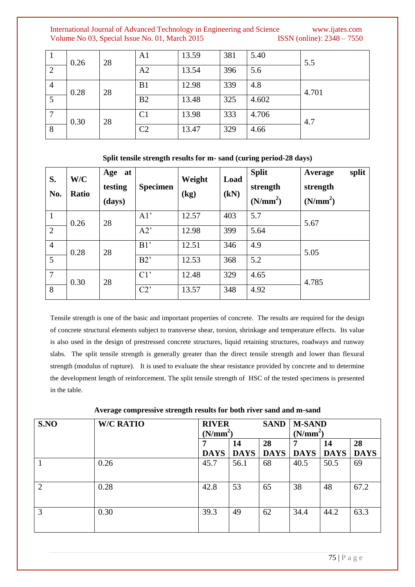|                | 0.26 | 28 | A <sub>1</sub> | 13.59 | 381 | 5.40  | 5.5   |
|----------------|------|----|----------------|-------|-----|-------|-------|
| $\overline{2}$ |      |    | A2             | 13.54 | 396 | 5.6   |       |
| $\overline{4}$ | 0.28 | 28 | B1             | 12.98 | 339 | 4.8   | 4.701 |
| 5              |      |    | B <sub>2</sub> | 13.48 | 325 | 4.602 |       |
|                | 0.30 | 28 | C <sub>1</sub> | 13.98 | 333 | 4.706 | 4.7   |
| 8              |      |    | C <sub>2</sub> | 13.47 | 329 | 4.66  |       |

| S.<br>No.       | W/C<br>Ratio | Age at<br>testing<br>(days) | <b>Specimen</b> | Weight<br>(kg) | Load<br>(kN) | <b>Split</b><br>strength<br>(N/mm <sup>2</sup> ) | split<br>Average<br>strength<br>(N/mm <sup>2</sup> ) |
|-----------------|--------------|-----------------------------|-----------------|----------------|--------------|--------------------------------------------------|------------------------------------------------------|
| $\overline{1}$  | 0.26         | 28                          | A1'             | 12.57          | 403          | 5.7                                              | 5.67                                                 |
| 2               |              |                             | A2'             | 12.98          | 399          | 5.64                                             |                                                      |
| $\overline{4}$  | 0.28         | 28                          | B1'             | 12.51          | 346          | 4.9                                              | 5.05                                                 |
| $5\overline{)}$ |              |                             | B2'             | 12.53          | 368          | 5.2                                              |                                                      |
| $\overline{7}$  | 0.30         | 28                          | C1'             | 12.48          | 329          | 4.65                                             | 4.785                                                |
| 8               |              |                             | C2              | 13.57          | 348          | 4.92                                             |                                                      |

### **Split tensile strength results for m- sand (curing period-28 days)**

Tensile strength is one of the basic and important properties of concrete. The results are required for the design of concrete structural elements subject to transverse shear, torsion, shrinkage and temperature effects. Its value is also used in the design of prestressed concrete structures, liquid retaining structures, roadways and runway slabs. The split tensile strength is generally greater than the direct tensile strength and lower than flexural strength (modulus of rupture). It is used to evaluate the shear resistance provided by concrete and to determine the development length of reinforcement. The split tensile strength of HSC of the tested specimens is presented in the table.

| S.NO | <b>W/C RATIO</b> | <b>RIVER</b><br>(N/mm <sup>2</sup> ) |                   | <b>SAND</b>       | <b>M-SAND</b><br>(N/mm <sup>2</sup> ) |             |                   |
|------|------------------|--------------------------------------|-------------------|-------------------|---------------------------------------|-------------|-------------------|
|      |                  |                                      | 14<br><b>DAYS</b> | 28<br><b>DAYS</b> | 7                                     | 14          | 28<br><b>DAYS</b> |
|      |                  | <b>DAYS</b>                          |                   |                   | <b>DAYS</b>                           | <b>DAYS</b> |                   |
|      | 0.26             | 45.7                                 | 56.1              | 68                | 40.5                                  | 50.5        | 69                |
| 2    | 0.28             | 42.8                                 | 53                | 65                | 38                                    | 48          | 67.2              |
| 3    | 0.30             | 39.3                                 | 49                | 62                | 34.4                                  | 44.2        | 63.3              |

#### **Average compressive strength results for both river sand and m-sand**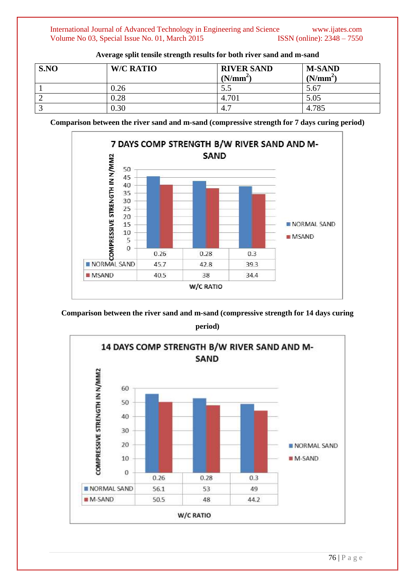| S.NO | <b>W/C RATIO</b> | <b>RIVER SAND</b><br>$(N/mm^2)$ | <b>M-SAND</b><br>$(N/mm^2)$ |
|------|------------------|---------------------------------|-----------------------------|
|      | 0.26             | 5.5                             | 5.67                        |
| ∸    | 0.28             | 4.701                           | 5.05                        |
|      | 0.30             | 4.7                             | 4.785                       |

**Average split tensile strength results for both river sand and m-sand**

**Comparison between the river sand and m-sand (compressive strength for 7 days curing period)**



**Comparison between the river sand and m-sand (compressive strength for 14 days curing** 

**period)**

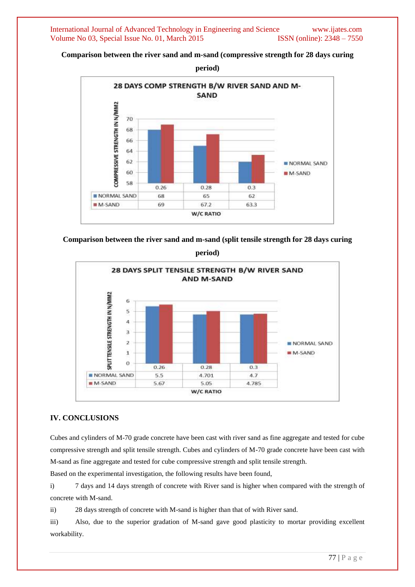**Comparison between the river sand and m-sand (compressive strength for 28 days curing** 



**Comparison between the river sand and m-sand (split tensile strength for 28 days curing** 

**period)**



### **IV. CONCLUSIONS**

Cubes and cylinders of M-70 grade concrete have been cast with river sand as fine aggregate and tested for cube compressive strength and split tensile strength. Cubes and cylinders of M-70 grade concrete have been cast with M-sand as fine aggregate and tested for cube compressive strength and split tensile strength.

Based on the experimental investigation, the following results have been found,

i) 7 days and 14 days strength of concrete with River sand is higher when compared with the strength of concrete with M-sand.

ii) 28 days strength of concrete with M-sand is higher than that of with River sand.

iii) Also, due to the superior gradation of M-sand gave good plasticity to mortar providing excellent workability.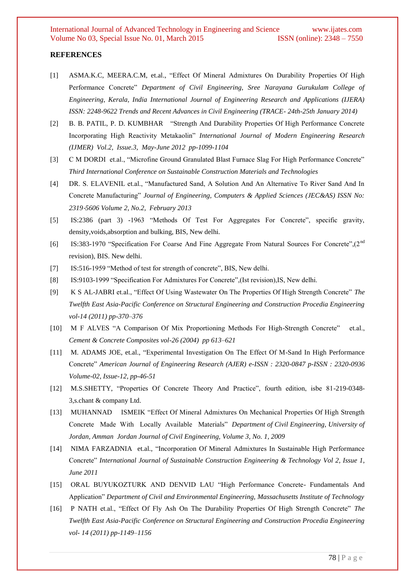#### **REFERENCES**

- [1] ASMA.K.C, MEERA.C.M, et.al., "Effect Of Mineral Admixtures On Durability Properties Of High Performance Concrete" *Department of Civil Engineering, Sree Narayana Gurukulam College of Engineering, Kerala, India International Journal of Engineering Research and Applications (IJERA) ISSN: 2248-9622 Trends and Recent Advances in Civil Engineering (TRACE- 24th-25th January 2014)*
- [2] B. B. PATIL, P. D. KUMBHAR "Strength And Durability Properties Of High Performance Concrete Incorporating High Reactivity Metakaolin" *International Journal of Modern Engineering Research (IJMER) Vol.2, Issue.3, May-June 2012 pp-1099-1104*
- [3] C M DORDI et.al., "Microfine Ground Granulated Blast Furnace Slag For High Performance Concrete" *Third International Conference on Sustainable Construction Materials and Technologies*
- [4] DR. S. ELAVENIL et.al., "Manufactured Sand, A Solution And An Alternative To River Sand And In Concrete Manufacturing" *Journal of Engineering, Computers & Applied Sciences (JEC&AS) ISSN No: 2319*‐*5606 Volume 2, No.2, February 2013*
- [5] IS:2386 (part 3) -1963 "Methods Of Test For Aggregates For Concrete", specific gravity, density,voids,absorption and bulking, BIS, New delhi.
- [6] IS:383-1970 "Specification For Coarse And Fine Aggregate From Natural Sources For Concrete",(2nd revision), BIS. New delhi.
- [7] IS:516-1959 "Method of test for strength of concrete", BIS, New delhi.
- [8] IS:9103-1999 "Specification For Admixtures For Concrete",(Ist revision),IS, New delhi.
- [9] K S AL-JABRI et.al., "Effect Of Using Wastewater On The Properties Of High Strength Concrete" *The Twelfth East Asia-Pacific Conference on Structural Engineering and Construction Procedia Engineering vol-14 (2011) pp-370–376*
- [10] M F ALVES "A Comparison Of Mix Proportioning Methods For High-Strength Concrete" et.al., *Cement & Concrete Composites vol-26 (2004) pp 613–621*
- [11] M. ADAMS JOE, et.al., "Experimental Investigation On The Effect Of M-Sand In High Performance Concrete" *American Journal of Engineering Research (AJER) e-ISSN : 2320-0847 p-ISSN : 2320-0936 Volume-02, Issue-12, pp-46-51*
- [12] M.S.SHETTY, "Properties Of Concrete Theory And Practice", fourth edition, isbe 81-219-0348- 3,s.chant & company Ltd.
- [13] MUHANNAD ISMEIK "Effect Of Mineral Admixtures On Mechanical Properties Of High Strength Concrete Made With Locally Available Materials" *Department of Civil Engineering, University of Jordan, Amman Jordan Journal of Civil Engineering, Volume 3, No. 1, 2009*
- [14] NIMA FARZADNIA et.al., "Incorporation Of Mineral Admixtures In Sustainable High Performance Concrete" *International Journal of Sustainable Construction Engineering & Technology Vol 2, Issue 1, June 2011*
- [15] ORAL BUYUKOZTURK AND DENVID LAU "High Performance Concrete- Fundamentals And Application" *Department of Civil and Environmental Engineering, Massachusetts Institute of Technology*
- [16] P NATH et.al., "Effect Of Fly Ash On The Durability Properties Of High Strength Concrete" *The Twelfth East Asia-Pacific Conference on Structural Engineering and Construction Procedia Engineering vol- 14 (2011) pp-1149–1156*